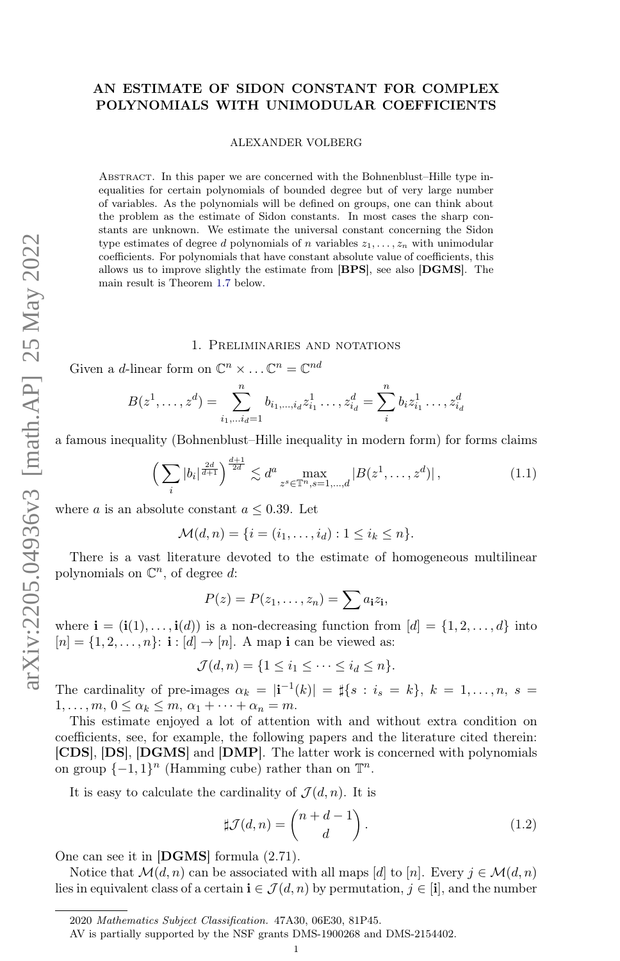# AN ESTIMATE OF SIDON CONSTANT FOR COMPLEX POLYNOMIALS WITH UNIMODULAR COEFFICIENTS

ALEXANDER VOLBERG

ABSTRACT. In this paper we are concerned with the Bohnenblust–Hille type inequalities for certain polynomials of bounded degree but of very large number of variables. As the polynomials will be defined on groups, one can think about the problem as the estimate of Sidon constants. In most cases the sharp constants are unknown. We estimate the universal constant concerning the Sidon type estimates of degree d polynomials of n variables  $z_1, \ldots, z_n$  with unimodular coefficients. For polynomials that have constant absolute value of coefficients, this allows us to improve slightly the estimate from [BPS], see also [DGMS]. The main result is Theorem [1.7](#page-1-0) below.

### 1. Preliminaries and notations

Given a *d*-linear form on  $\mathbb{C}^n \times \ldots \mathbb{C}^n = \mathbb{C}^{nd}$ 

$$
B(z^1, \ldots, z^d) = \sum_{i_1, \ldots, i_d = 1}^n b_{i_1, \ldots, i_d} z^1_{i_1} \ldots, z^d_{i_d} = \sum_i^n b_i z^1_{i_1} \ldots, z^d_{i_d}
$$

a famous inequality (Bohnenblust–Hille inequality in modern form) for forms claims

<span id="page-0-0"></span>
$$
\left(\sum_{i} |b_{i}|^{\frac{2d}{d+1}}\right)^{\frac{d+1}{2d}} \lesssim d^{a} \max_{z^{s} \in \mathbb{T}^{n}, s=1,\dots,d} |B(z^{1},\dots,z^{d})|,
$$
\n(1.1)

where a is an absolute constant  $a \leq 0.39$ . Let

$$
\mathcal{M}(d,n) = \{i = (i_1, \ldots, i_d) : 1 \le i_k \le n\}.
$$

There is a vast literature devoted to the estimate of homogeneous multilinear polynomials on  $\mathbb{C}^n$ , of degree d:

$$
P(z) = P(z_1, \ldots, z_n) = \sum a_i z_i,
$$

where  $\mathbf{i} = (\mathbf{i}(1), \dots, \mathbf{i}(d))$  is a non-decreasing function from  $[d] = \{1, 2, \dots, d\}$  into  $[n] = \{1, 2, \ldots, n\}$ :  $\mathbf{i} : [d] \rightarrow [n]$ . A map i can be viewed as:

$$
\mathcal{J}(d,n) = \{1 \leq i_1 \leq \cdots \leq i_d \leq n\}.
$$

The cardinality of pre-images  $\alpha_k = |\mathbf{i}^{-1}(k)| = |s| \{ s : i_s = k \}, k = 1, \ldots, n, s =$  $1, \ldots, m, 0 \leq \alpha_k \leq m, \alpha_1 + \cdots + \alpha_n = m.$ 

This estimate enjoyed a lot of attention with and without extra condition on coefficients, see, for example, the following papers and the literature cited therein: [CDS], [DS], [DGMS] and [DMP]. The latter work is concerned with polynomials on group  $\{-1,1\}^n$  (Hamming cube) rather than on  $\mathbb{T}^n$ .

It is easy to calculate the cardinality of  $\mathcal{J}(d, n)$ . It is

<span id="page-0-1"></span>
$$
\sharp \mathcal{J}(d,n) = \binom{n+d-1}{d}.
$$
 (1.2)

One can see it in [DGMS] formula (2.71).

Notice that  $\mathcal{M}(d, n)$  can be associated with all maps [d] to [n]. Every  $j \in \mathcal{M}(d, n)$ lies in equivalent class of a certain  $\mathbf{i} \in \mathcal{J}(d, n)$  by permutation,  $j \in [\mathbf{i}]$ , and the number

<sup>2020</sup> Mathematics Subject Classification. 47A30, 06E30, 81P45.

AV is partially supported by the NSF grants DMS-1900268 and DMS-2154402.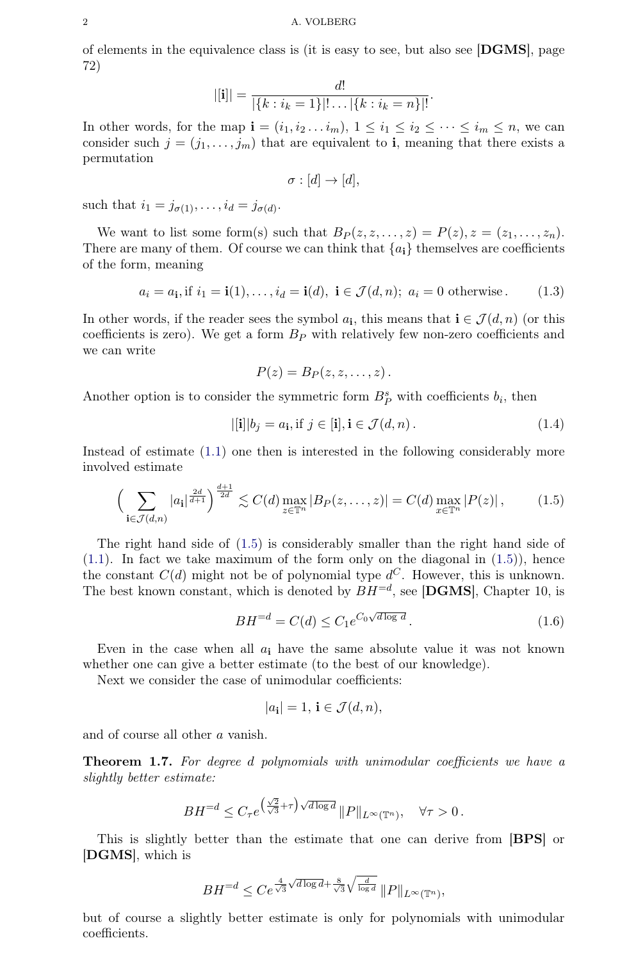of elements in the equivalence class is (it is easy to see, but also see [DGMS], page 72)

$$
|[\mathbf{i}]| = \frac{d!}{|\{k : i_k = 1\}|! \dots |\{k : i_k = n\}|!}.
$$

In other words, for the map  $\mathbf{i} = (i_1, i_2 \ldots i_m), 1 \leq i_1 \leq i_2 \leq \cdots \leq i_m \leq n$ , we can consider such  $j = (j_1, \ldots, j_m)$  that are equivalent to **i**, meaning that there exists a permutation

$$
\sigma : [d] \to [d],
$$

such that  $i_1 = j_{\sigma(1)}, \ldots, i_d = j_{\sigma(d)}$ .

We want to list some form(s) such that  $B_P(z, z, \ldots, z) = P(z), z = (z_1, \ldots, z_n)$ . There are many of them. Of course we can think that  ${a_i}$  themselves are coefficients of the form, meaning

$$
a_i = a_i, \text{if } i_1 = \mathbf{i}(1), \dots, i_d = \mathbf{i}(d), \ \mathbf{i} \in \mathcal{J}(d, n); \ a_i = 0 \text{ otherwise.} \tag{1.3}
$$

In other words, if the reader sees the symbol  $a_i$ , this means that  $\mathbf{i} \in \mathcal{J}(d, n)$  (or this coefficients is zero). We get a form  $B<sub>P</sub>$  with relatively few non-zero coefficients and we can write

$$
P(z) = B_P(z, z, \ldots, z).
$$

Another option is to consider the symmetric form  $B_P^s$  with coefficients  $b_i$ , then

$$
|[\mathbf{i}]|b_j = a_\mathbf{i}, \text{if } j \in [\mathbf{i}], \mathbf{i} \in \mathcal{J}(d, n). \tag{1.4}
$$

Instead of estimate [\(1.1\)](#page-0-0) one then is interested in the following considerably more involved estimate

<span id="page-1-1"></span>
$$
\left(\sum_{\mathbf{i}\in\mathcal{J}(d,n)}|a_{\mathbf{i}}|^{\frac{2d}{d+1}}\right)^{\frac{d+1}{2d}}\lesssim C(d)\max_{z\in\mathbb{T}^n}|B_P(z,\ldots,z)|=C(d)\max_{x\in\mathbb{T}^n}|P(z)|\,,\tag{1.5}
$$

The right hand side of [\(1.5\)](#page-1-1) is considerably smaller than the right hand side of  $(1.1)$ . In fact we take maximum of the form only on the diagonal in  $(1.5)$ ), hence the constant  $C(d)$  might not be of polynomial type  $d^C$ . However, this is unknown. The best known constant, which is denoted by  $BH^{=d}$ , see [DGMS], Chapter 10, is

$$
BH^{=d} = C(d) \le C_1 e^{C_0 \sqrt{d \log d}}.
$$
\n(1.6)

Even in the case when all  $a_i$  have the same absolute value it was not known whether one can give a better estimate (to the best of our knowledge).

Next we consider the case of unimodular coefficients:

$$
|a_{\mathbf{i}}| = 1, \, \mathbf{i} \in \mathcal{J}(d, n),
$$

and of course all other a vanish.

<span id="page-1-0"></span>**Theorem 1.7.** For degree d polynomials with unimodular coefficients we have a slightly better estimate:

$$
BH^{=d} \leq C_{\tau} e^{\left(\frac{\sqrt{2}}{\sqrt{3}} + \tau\right) \sqrt{d \log d}} \|P\|_{L^{\infty}(\mathbb{T}^n)}, \quad \forall \tau > 0.
$$

This is slightly better than the estimate that one can derive from [BPS] or [DGMS], which is

$$
BH^{=d} \leq Ce^{\frac{4}{\sqrt{3}}\sqrt{d\log d} + \frac{8}{\sqrt{3}}\sqrt{\frac{d}{\log d}}}\|P\|_{L^{\infty}(\mathbb{T}^n)},
$$

but of course a slightly better estimate is only for polynomials with unimodular coefficients.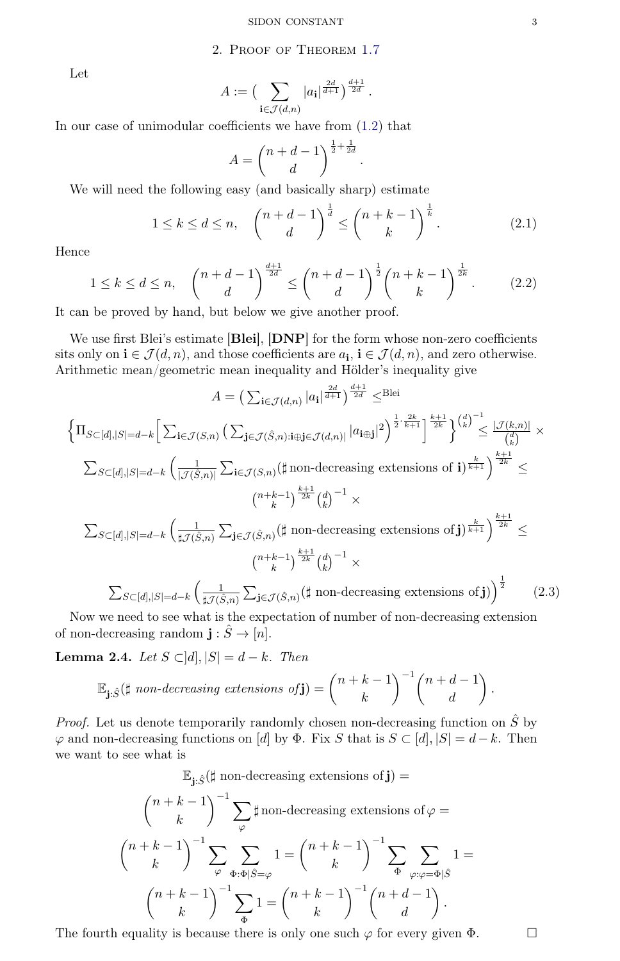## 2. Proof of Theorem [1.7](#page-1-0)

Let

$$
A := \left(\sum_{\mathbf{i} \in \mathcal{J}(d,n)} |a_{\mathbf{i}}|^{\frac{2d}{d+1}}\right)^{\frac{d+1}{2d}}.
$$

In our case of unimodular coefficients we have from [\(1.2\)](#page-0-1) that

$$
A = \binom{n+d-1}{d}^{\frac{1}{2} + \frac{1}{2d}}
$$

We will need the following easy (and basically sharp) estimate

$$
1 \le k \le d \le n, \quad \binom{n+d-1}{d}^{\frac{1}{d}} \le \binom{n+k-1}{k}^{\frac{1}{k}}.
$$
 (2.1)

.

Hence

<span id="page-2-1"></span>
$$
1 \le k \le d \le n, \quad \binom{n+d-1}{d}^{\frac{d+1}{2d}} \le \binom{n+d-1}{d}^{\frac{1}{2}} \binom{n+k-1}{k}^{\frac{1}{2k}}.
$$
 (2.2)

It can be proved by hand, but below we give another proof.

We use first Blei's estimate [Blei], [DNP] for the form whose non-zero coefficients sits only on  $\mathbf{i} \in \mathcal{J}(d,n)$ , and those coefficients are  $a_{\mathbf{i}}$ ,  $\mathbf{i} \in \mathcal{J}(d,n)$ , and zero otherwise. Arithmetic mean/geometric mean inequality and Hölder's inequality give

<span id="page-2-0"></span>
$$
A = \left(\sum_{\mathbf{i} \in \mathcal{J}(d,n)} |a_{\mathbf{i}}|^{\frac{2d}{d+1}}\right)^{\frac{d+1}{2d}} \leq \text{Blei}
$$
\n
$$
\left\{\Pi_{S \subset [d],|S|=d-k} \left[\sum_{\mathbf{i} \in \mathcal{J}(S,n)} \left(\sum_{\mathbf{j} \in \mathcal{J}(\hat{S},n) : \text{if } \text{g} \in \mathcal{J}(d,n)} |a_{\mathbf{i}}\right)^{2}\right]^{\frac{1}{2} \cdot \frac{2k}{k+1}}\right\}^{\frac{k+1}{2k}} \right\}^{\left(\frac{d}{k}\right)^{-1}} \leq \frac{|\mathcal{J}(k,n)|}{\binom{d}{k}} \times
$$
\n
$$
\sum_{S \subset [d],|S|=d-k} \left(\frac{1}{|\mathcal{J}(\hat{S},n)|} \sum_{\mathbf{i} \in \mathcal{J}(S,n)} \left(\sharp \text{ non-decreasing extensions of } \mathbf{i}\right)^{\frac{k}{k+1}}\right)^{\frac{k+1}{2k}} \leq
$$
\n
$$
\binom{n+k-1}{k}^{\frac{k+1}{2k}} \binom{d}{k}^{-1} \times
$$
\n
$$
\sum_{S \subset [d],|S|=d-k} \left(\frac{1}{\sharp \mathcal{J}(\hat{S},n)} \sum_{\mathbf{j} \in \mathcal{J}(\hat{S},n)} \left(\sharp \text{ non-decreasing extensions of } \mathbf{j}\right)^{\frac{k}{k+1}}\right)^{\frac{k+1}{2k}} \leq
$$
\n
$$
\binom{n+k-1}{k}^{\frac{k+1}{2k}} \binom{d}{k}^{-1} \times
$$
\n
$$
\sum_{S \subset [d],|S|=d-k} \left(\frac{1}{\sharp \mathcal{J}(\hat{S},n)} \sum_{\mathbf{j} \in \mathcal{J}(\hat{S},n)} \left(\sharp \text{ non-decreasing extensions of } \mathbf{j}\right)\right)^{\frac{1}{2}} \qquad (2.3)
$$

Now we need to see what is the expectation of number of non-decreasing extension of non-decreasing random  $\mathbf{j}: \hat{S} \to [n]$ .

**Lemma 2.4.** Let  $S \subset [d], |S| = d - k$ . Then

$$
\mathbb{E}_{\mathbf{j}: \hat{S}}(\sharp \text{ non-decreasing extensions of}\mathbf{j}) = {n+k-1 \choose k}^{-1} {n+d-1 \choose d}.
$$

*Proof.* Let us denote temporarily randomly chosen non-decreasing function on  $\hat{S}$  by  $\varphi$  and non-decreasing functions on [d] by  $\Phi$ . Fix S that is  $S \subset [d], |S| = d - k$ . Then we want to see what is

$$
\mathbb{E}_{\mathbf{j}: \hat{S}}(\sharp \text{ non-decreasing extensions of } \mathbf{j}) =
$$
\n
$$
\binom{n+k-1}{k}^{-1} \sum_{\varphi} \sharp \text{ non-decreasing extensions of } \varphi =
$$
\n
$$
\binom{n+k-1}{k}^{-1} \sum_{\varphi} \sum_{\Phi: \Phi | \hat{S} = \varphi} 1 = \binom{n+k-1}{k}^{-1} \sum_{\Phi} \sum_{\varphi: \varphi = \Phi | \hat{S}} 1 =
$$
\n
$$
\binom{n+k-1}{k}^{-1} \sum_{\Phi} 1 = \binom{n+k-1}{k}^{-1} \binom{n+d-1}{d}.
$$

The fourth equality is because there is only one such  $\varphi$  for every given  $\Phi$ .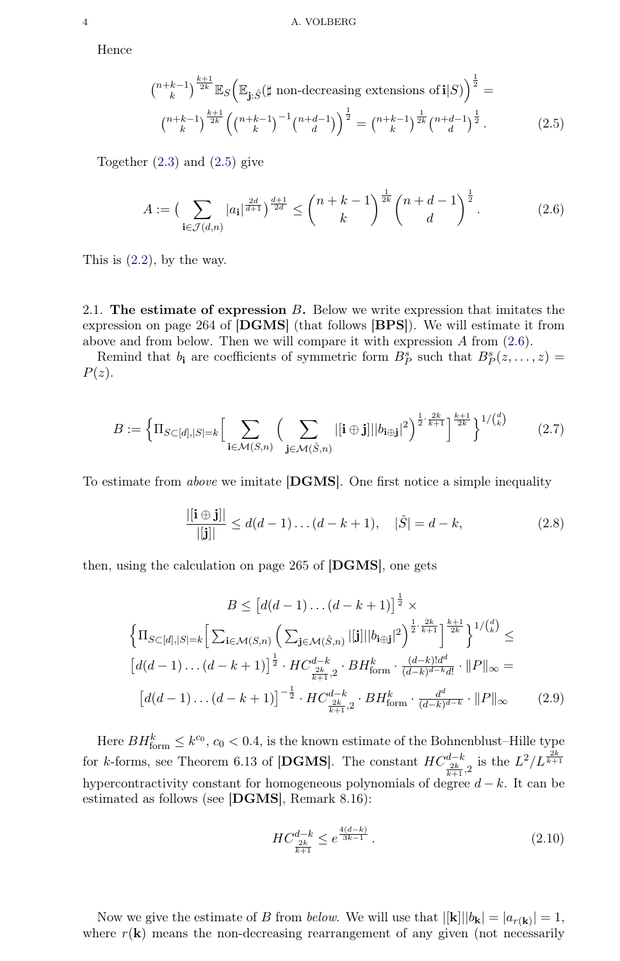Hence

<span id="page-3-0"></span>
$$
\binom{n+k-1}{k}^{\frac{k+1}{2k}} \mathbb{E}_S \Big( \mathbb{E}_{\mathbf{j}: \hat{S}} (\sharp \text{ non-decreasing extensions of } \mathbf{i}|S) \Big)^{\frac{1}{2}} =
$$
\n
$$
\binom{n+k-1}{k}^{\frac{k+1}{2k}} \left( \binom{n+k-1}{k}^{-1} \binom{n+d-1}{d} \right)^{\frac{1}{2}} = \binom{n+k-1}{k}^{\frac{1}{2k}} \binom{n+d-1}{d}^{\frac{1}{2}}.
$$
\n(2.5)

Together [\(2.3\)](#page-2-0) and [\(2.5\)](#page-3-0) give

<span id="page-3-1"></span>
$$
A := \left(\sum_{\mathbf{i} \in \mathcal{J}(d,n)} |a_{\mathbf{i}}|^{\frac{2d}{d+1}}\right)^{\frac{d+1}{2d}} \le \binom{n+k-1}{k}^{\frac{1}{2k}} \binom{n+d-1}{d}^{\frac{1}{2}}.
$$
 (2.6)

This is  $(2.2)$ , by the way.

2.1. The estimate of expression  $B$ . Below we write expression that imitates the expression on page 264 of [DGMS] (that follows [BPS]). We will estimate it from above and from below. Then we will compare it with expression  $A$  from  $(2.6)$ .

Remind that  $b_i$  are coefficients of symmetric form  $B_P^s$  such that  $B_P^s(z, \ldots, z) =$  $P(z)$ .

$$
B := \left\{ \Pi_{S \subset [d], |S| = k} \Big[ \sum_{\mathbf{i} \in \mathcal{M}(S,n)} \Big( \sum_{\mathbf{j} \in \mathcal{M}(\hat{S},n)} |[\mathbf{i} \oplus \mathbf{j}] || b_{\mathbf{i} \oplus \mathbf{j}}|^2 \Big)^{\frac{1}{2} \cdot \frac{2k}{k+1}} \right\}^{\frac{k+1}{2k}} \right\}^{1/(d)} \tag{2.7}
$$

To estimate from above we imitate [DGMS]. One first notice a simple inequality

<span id="page-3-2"></span>
$$
\frac{|[\mathbf{i} \oplus \mathbf{j}]|}{|[\mathbf{j}]|} \le d(d-1)\dots(d-k+1), \quad |\hat{S}| = d-k,\tag{2.8}
$$

then, using the calculation on page 265 of [DGMS], one gets

<span id="page-3-3"></span>
$$
B \leq \left[d(d-1)\dots(d-k+1)\right]^{\frac{1}{2}} \times \left\{\Pi_{S\subset[d],|S|=k}\left[\sum_{\mathbf{i}\in\mathcal{M}(S,n)}\left(\sum_{\mathbf{j}\in\mathcal{M}(\hat{S},n)}|[\mathbf{j}]\|b_{\mathbf{i}\oplus\mathbf{j}}|^2\right)^{\frac{1}{2}\cdot\frac{2k}{k+1}}\right\}^{k+1} \right\}^{1/\binom{d}{k}} \leq
$$

$$
\left[d(d-1)\dots(d-k+1)\right]^{\frac{1}{2}} \cdot HC_{\frac{2k}{k+1},2}^{d-k} \cdot BH_{\text{form}}^k \cdot \frac{(d-k)!d^d}{(d-k)^{d-k}d!} \cdot ||P||_{\infty} =
$$

$$
\left[d(d-1)\dots(d-k+1)\right]^{-\frac{1}{2}} \cdot HC_{\frac{2k}{k+1},2}^{d-k} \cdot BH_{\text{form}}^k \cdot \frac{d^d}{(d-k)^{d-k}} \cdot ||P||_{\infty} \qquad (2.9)
$$

Here  $BH^k_{\text{form}} \leq k^{c_0}$ ,  $c_0 < 0.4$ , is the known estimate of the Bohnenblust–Hille type for k-forms, see Theorem 6.13 of [DGMS]. The constant  $HC_{\frac{2k}{k+1},2}^{d-k}$  is the  $L^2/L^{\frac{2k}{k+1}}$ hypercontractivity constant for homogeneous polynomials of degree  $d - k$ . It can be estimated as follows (see [DGMS], Remark 8.16):

$$
HC_{\frac{2k}{k+1}}^{d-k} \le e^{\frac{4(d-k)}{3k-1}}.
$$
\n(2.10)

Now we give the estimate of B from *below*. We will use that  $|[\mathbf{k}]||b_{\mathbf{k}}| = |a_{r(\mathbf{k})}| = 1$ , where  $r(\mathbf{k})$  means the non-decreasing rearrangement of any given (not necessarily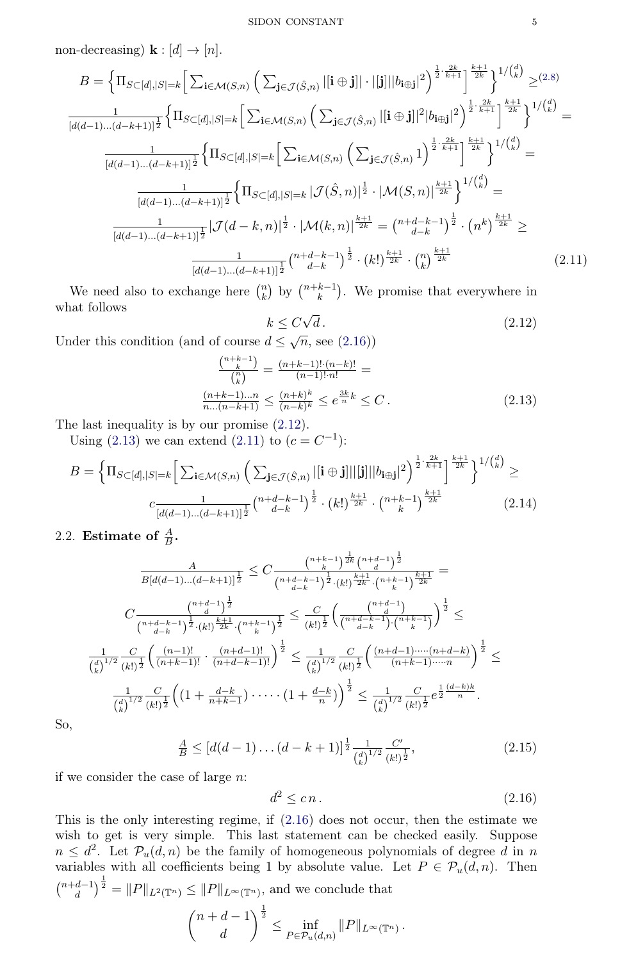non-decreasing)  $\mathbf{k} : [d] \rightarrow [n]$ .

<span id="page-4-3"></span>
$$
B = \left\{ \Pi_{S \subset [d],|S|=k} \left[ \sum_{\mathbf{i} \in \mathcal{M}(S,n)} \left( \sum_{\mathbf{j} \in \mathcal{J}(\hat{S},n)} |[\mathbf{i} \oplus \mathbf{j}]| \cdot |[\mathbf{j}]||b_{\mathbf{i} \oplus \mathbf{j}}|^2 \right)^{\frac{1}{2} \cdot \frac{2k}{k+1}} \right\}^{k+1} \right\}^{1/(k)} \geq (2.8)
$$
  
\n
$$
\frac{1}{[d(d-1)...(d-k+1)]^{\frac{1}{2}}} \left\{ \Pi_{S \subset [d],|S|=k} \left[ \sum_{\mathbf{i} \in \mathcal{M}(S,n)} \left( \sum_{\mathbf{j} \in \mathcal{J}(\hat{S},n)} |[\mathbf{i} \oplus \mathbf{j}]|^2 |b_{\mathbf{i} \oplus \mathbf{j}}|^2 \right)^{\frac{1}{2} \cdot \frac{2k}{k+1}} \right\}^{k+1} \right\}^{1/(k)} =
$$
  
\n
$$
\frac{1}{[d(d-1)...(d-k+1)]^{\frac{1}{2}}} \left\{ \Pi_{S \subset [d],|S|=k} \left[ \sum_{\mathbf{i} \in \mathcal{M}(S,n)} \left( \sum_{\mathbf{j} \in \mathcal{J}(\hat{S},n)} 1 \right)^{\frac{1}{2} \cdot \frac{2k}{k+1}} \right\}^{k+1} \right\}^{1/(k)} =
$$
  
\n
$$
\frac{1}{[d(d-1)...(d-k+1)]^{\frac{1}{2}}} \left\{ \Pi_{S \subset [d],|S|=k} | \mathcal{J}(\hat{S},n)|^{\frac{1}{2}} \cdot |\mathcal{M}(S,n)|^{\frac{k+1}{2k}} \right\}^{1/(k)} =
$$
  
\n
$$
\frac{1}{[d(d-1)...(d-k+1)]^{\frac{1}{2}}} |\mathcal{J}(d-k,n)|^{\frac{1}{2}} \cdot |\mathcal{M}(k,n)|^{\frac{k+1}{2k}} = {n+d-k-1 \choose d-k}^{\frac{1}{2}} \cdot (n^k)^{\frac{k+1}{2k}} \geq
$$
  
\n
$$
\frac{1}{[d(d-1)...(d-k+1)]^{\frac{1}{2}}} {n+d-k-1 \choose d-k}^{\frac{1}{2}} \cdot (k!)
$$

We need also to exchange here  $\binom{n}{k}$  $\binom{n}{k}$  by  $\binom{n+k-1}{k}$  $\binom{k-1}{k}$ . We promise that everywhere in what follows √

<span id="page-4-1"></span>
$$
k \le C\sqrt{d}.\tag{2.12}
$$

Under this condition (and of course  $d \leq \sqrt{n}$ , see [\(2.16\)](#page-4-0))

<span id="page-4-2"></span>
$$
\frac{\binom{n+k-1}{k}}{\binom{n}{k}} = \frac{(n+k-1)!(n-k)!}{(n-1)!\cdot n!} =
$$
\n
$$
\frac{(n+k-1)...n}{n...(n-k+1)} \le \frac{(n+k)^k}{(n-k)^k} \le e^{\frac{3k}{n}k} \le C.
$$
\n(2.13)

The last inequality is by our promise [\(2.12\)](#page-4-1).

Using [\(2.13\)](#page-4-2) we can extend [\(2.11\)](#page-4-3) to  $(c = C^{-1})$ :

$$
B = \left\{ \Pi_{S \subset [d], |S| = k} \left[ \sum_{\mathbf{i} \in \mathcal{M}(S,n)} \left( \sum_{\mathbf{j} \in \mathcal{J}(\hat{S},n)} |[\mathbf{i} \oplus \mathbf{j}]||[\mathbf{j}]||b_{\mathbf{i} \oplus \mathbf{j}}|^2 \right)^{\frac{1}{2} \cdot \frac{2k}{k+1}} \right\}^{\frac{k+1}{2k}} \right\}^{1/\binom{d}{k}} \ge
$$
  

$$
c \frac{1}{[d(d-1)\dots(d-k+1)]^{\frac{1}{2}}} \binom{n+d-k-1}{d-k}^{\frac{1}{2}} \cdot \left(k!\right)^{\frac{k+1}{2k}} \cdot \binom{n+k-1}{k}^{\frac{k+1}{2k}} \tag{2.14}
$$

2.2. Estimate of  $\frac{A}{B}$ .

<span id="page-4-4"></span>
$$
\frac{A}{B[d(d-1)...(d-k+1)]^{\frac{1}{2}}} \leq C \frac{\binom{n+k-1}{k}^{\frac{1}{2k}} \binom{n+d-1}{d}}{\binom{n+d-k-1}{d-k}^{\frac{1}{2}} \cdot (k!)^{\frac{k+1}{2k}} \cdot \binom{n+k-1}{k}^{\frac{k+1}{2k}}} =
$$
\n
$$
C \frac{\binom{n+d-1}{d-k}^{\frac{1}{2}}}{\binom{n+d-k-1}{d-k}^{\frac{1}{2}} \cdot (k!)^{\frac{1}{2k}} \cdot \binom{n+k-1}{k}^{\frac{1}{2}}} \leq \frac{C}{(k!)^{\frac{1}{2}}} \left(\frac{\binom{n+d-1}{d}}{\binom{n+d-k-1}{d-k}^{\frac{1}{2}}}\right)^{\frac{1}{2}} \leq
$$
\n
$$
\frac{1}{\binom{d}{k}^{1/2}} \frac{C}{(k!)^{\frac{1}{2}}} \left(\frac{(n-1)!}{(n+k-1)!} \cdot \frac{(n+d-1)!}{(n+d-k-1)!}\right)^{\frac{1}{2}} \leq \frac{1}{\binom{d}{k}^{1/2}} \frac{C}{(k!)^{\frac{1}{2}}} \left(\frac{(n+d-1) \cdots (n+d-k)}{(n+k-1) \cdots n}\right)^{\frac{1}{2}} \leq
$$
\n
$$
\frac{1}{\binom{d}{k}^{1/2}} \frac{C}{(k!)^{\frac{1}{2}}} \left((1 + \frac{d-k}{n+k-1}) \cdots \cdots (1 + \frac{d-k}{n})\right)^{\frac{1}{2}} \leq \frac{1}{\binom{d}{k}^{1/2}} \frac{C}{(k!)^{\frac{1}{2}}} e^{\frac{1}{2} \frac{(d-k)k}{n}}.
$$

So,

$$
\frac{A}{B} \le [d(d-1)\dots(d-k+1)]^{\frac{1}{2}} \frac{1}{\binom{d}{k}^{1/2}} \frac{C'}{(k!)^{\frac{1}{2}}},\tag{2.15}
$$

if we consider the case of large n:

<span id="page-4-0"></span>
$$
d^2 \le c n. \tag{2.16}
$$

This is the only interesting regime, if [\(2.16\)](#page-4-0) does not occur, then the estimate we wish to get is very simple. This last statement can be checked easily. Suppose  $n \leq d^2$ . Let  $\mathcal{P}_u(d,n)$  be the family of homogeneous polynomials of degree d in n variables with all coefficients being 1 by absolute value. Let  $P \in \mathcal{P}_u(d,n)$ . Then  $\binom{n+d-1}{d}$  $\binom{d-1}{d}^{\frac{1}{2}} = ||P||_{L^2(\mathbb{T}^n)} \leq ||P||_{L^{\infty}(\mathbb{T}^n)}$ , and we conclude that  $(n+d-1)$ d  $\bigg\}^{\frac{1}{2}} \leq \inf_{P \in \mathcal{P}_u(d,n)} \|P\|_{L^{\infty}(\mathbb{T}^n)}.$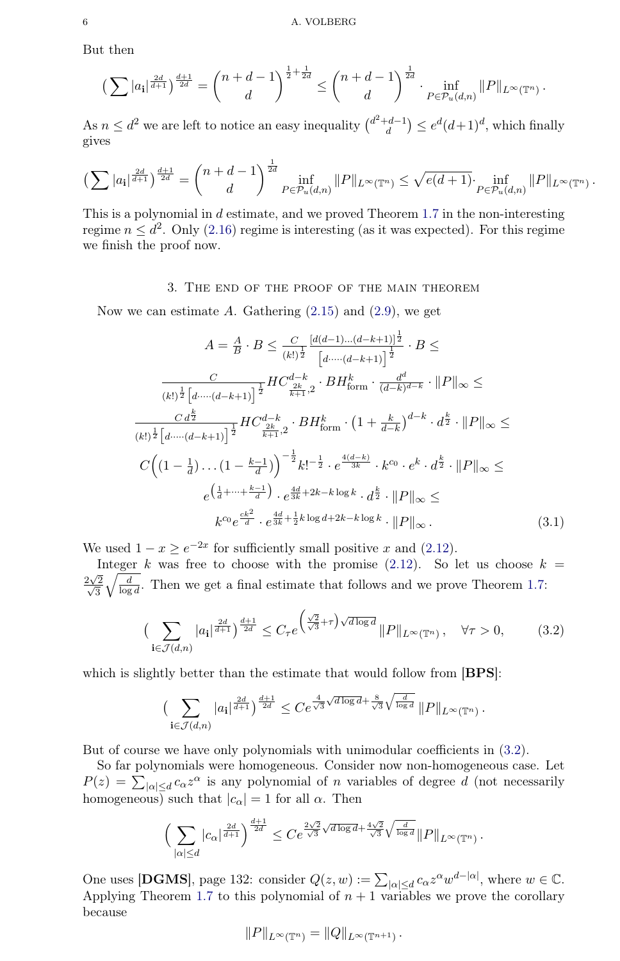But then

$$
\left(\sum |a_{\mathbf{i}}|^{\frac{2d}{d+1}}\right)^{\frac{d+1}{2d}} = \binom{n+d-1}{d}^{\frac{1}{2}+\frac{1}{2d}} \le \binom{n+d-1}{d}^{\frac{1}{2d}} \cdot \inf_{P \in \mathcal{P}_u(d,n)} \|P\|_{L^{\infty}(\mathbb{T}^n)}.
$$

As  $n \leq d^2$  we are left to notice an easy inequality  $\binom{d^2+d-1}{d}$  $\binom{d-1}{d} \leq e^d (d+1)^d$ , which finally gives

$$
\left(\sum |a_{i}|^{\frac{2d}{d+1}}\right)^{\frac{d+1}{2d}} = {n+d-1 \choose d}^{\frac{1}{2d}} \inf_{P \in \mathcal{P}_{u}(d,n)} \|P\|_{L^{\infty}(\mathbb{T}^{n})} \leq \sqrt{e(d+1)} \cdot \inf_{P \in \mathcal{P}_{u}(d,n)} \|P\|_{L^{\infty}(\mathbb{T}^{n})}.
$$

This is a polynomial in d estimate, and we proved Theorem [1.7](#page-1-0) in the non-interesting regime  $n \leq d^2$ . Only [\(2.16\)](#page-4-0) regime is interesting (as it was expected). For this regime we finish the proof now.

### 3. The end of the proof of the main theorem

Now we can estimate  $A$ . Gathering  $(2.15)$  and  $(2.9)$ , we get

$$
A = \frac{A}{B} \cdot B \leq \frac{C}{(k!)^{\frac{1}{2}}} \frac{\left[d(d-1)\dots(d-k+1)\right]^{\frac{1}{2}}}{\left[d\dots\cdot(d-k+1)\right]^{\frac{1}{2}}} \cdot B \leq
$$

$$
\frac{C}{(k!)^{\frac{1}{2}} \left[d\dots\cdot(d-k+1)\right]^{\frac{1}{2}}} H C_{\frac{2k}{k+1},2}^{d-k} \cdot B H_{\text{form}}^{k} \cdot \frac{d^{d}}{(d-k)^{d-k}} \cdot \|P\|_{\infty} \leq
$$

$$
\frac{C d^{\frac{k}{2}}}{(k!)^{\frac{1}{2}} \left[d\dots\cdot(d-k+1)\right]^{\frac{1}{2}}} H C_{\frac{2k}{k+1},2}^{d-k} \cdot B H_{\text{form}}^{k} \cdot \left(1 + \frac{k}{d-k}\right)^{d-k} \cdot d^{\frac{k}{2}} \cdot \|P\|_{\infty} \leq
$$

$$
C \left( \left(1 - \frac{1}{d}\right) \dots \left(1 - \frac{k-1}{d}\right) \right)^{-\frac{1}{2}} k!^{-\frac{1}{2}} \cdot e^{\frac{4(d-k)}{3k}} \cdot k^{c_0} \cdot e^k \cdot d^{\frac{k}{2}} \cdot \|P\|_{\infty} \leq
$$

$$
e^{\left(\frac{1}{d} + \dots + \frac{k-1}{d}\right)} \cdot e^{\frac{4d}{3k} + 2k - k \log k} \cdot d^{\frac{k}{2}} \cdot \|P\|_{\infty} \leq
$$

$$
k^{c_0} e^{\frac{ck^2}{d}} \cdot e^{\frac{4d}{3k} + \frac{1}{2}k \log d + 2k - k \log k} \cdot \|P\|_{\infty}.
$$

$$
(3.1)
$$

We used  $1 - x \ge e^{-2x}$  for sufficiently small positive x and [\(2.12\)](#page-4-1).

Integer k was free to choose with the promise  $(2.12)$ . So let us choose  $k =$  $\sqrt{2}$  $\frac{2\sqrt{2}}{\sqrt{2}}$ 3  $\sqrt{\frac{d}{\log d}}$ . Then we get a final estimate that follows and we prove Theorem [1.7:](#page-1-0)

<span id="page-5-0"></span>
$$
\left(\sum_{\mathbf{i}\in\mathcal{J}(d,n)}|a_{\mathbf{i}}|^{\frac{2d}{d+1}}\right)^{\frac{d+1}{2d}} \le C_{\tau}e^{\left(\frac{\sqrt{2}}{\sqrt{3}}+\tau\right)\sqrt{d\log d}}\|P\|_{L^{\infty}(\mathbb{T}^n)}, \quad \forall \tau > 0,
$$
 (3.2)

which is slightly better than the estimate that would follow from [BPS]:

$$
\big(\sum_{\mathbf{i}\in\mathcal{J}(d,n)} |a_{\mathbf{i}}|^{\frac{2d}{d+1}}\big)^{\frac{d+1}{2d}} \leq Ce^{\frac{4}{\sqrt{3}}\sqrt{d\log d} + \frac{8}{\sqrt{3}}\sqrt{\frac{d}{\log d}}}\, \|P\|_{L^{\infty}(\mathbb{T}^n)}\,.
$$

But of course we have only polynomials with unimodular coefficients in [\(3.2\)](#page-5-0).

So far polynomials were homogeneous. Consider now non-homogeneous case. Let  $P(z) = \sum_{|\alpha| \le d} c_{\alpha} z^{\alpha}$  is any polynomial of *n* variables of degree *d* (not necessarily homogeneous) such that  $|c_{\alpha}| = 1$  for all  $\alpha$ . Then

$$
\Big(\sum_{|\alpha|\leq d} |c_\alpha|^{\frac{2d}{d+1}}\Big)^{\frac{d+1}{2d}} \leq Ce^{\frac{2\sqrt{2}}{\sqrt{3}}\sqrt{d\log d}+\frac{4\sqrt{2}}{\sqrt{3}}\sqrt{\frac{d}{\log d}}}\|P\|_{L^\infty(\mathbb{T}^n)}\,.
$$

One uses [DGMS], page 132: consider  $Q(z, w) := \sum_{|\alpha| \le d} c_{\alpha} z^{\alpha} w^{d - |\alpha|}$ , where  $w \in \mathbb{C}$ . Applying Theorem [1.7](#page-1-0) to this polynomial of  $n + 1$  variables we prove the corollary because

$$
||P||_{L^{\infty}(\mathbb{T}^n)} = ||Q||_{L^{\infty}(\mathbb{T}^{n+1})}.
$$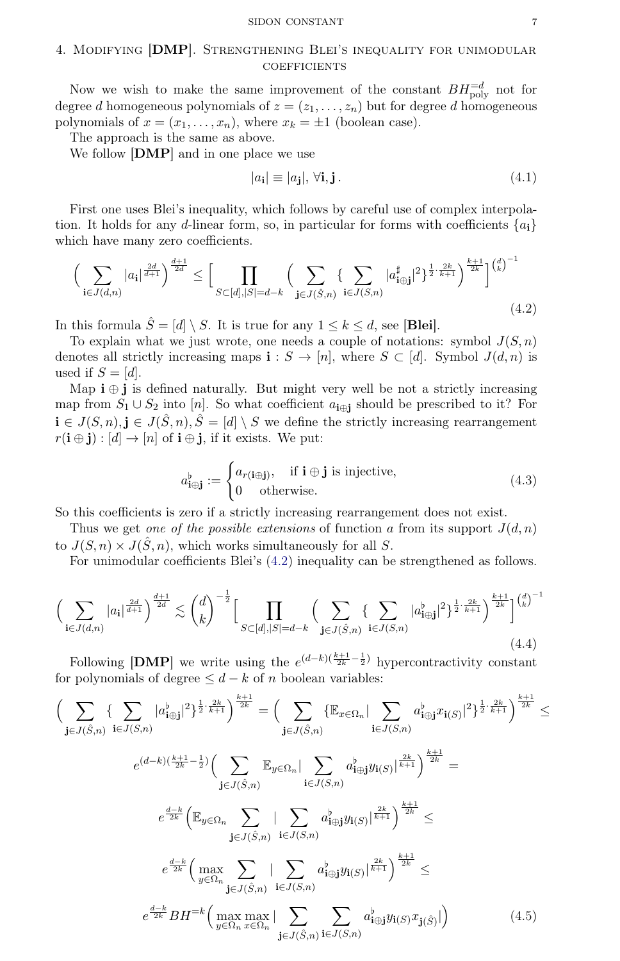#### SIDON CONSTANT 7

## 4. Modifying [DMP]. Strengthening Blei's inequality for unimodular **COEFFICIENTS**

Now we wish to make the same improvement of the constant  $BH_{\text{poly}}^{-d}$  not for degree d homogeneous polynomials of  $z = (z_1, \ldots, z_n)$  but for degree d homogeneous polynomials of  $x = (x_1, \ldots, x_n)$ , where  $x_k = \pm 1$  (boolean case).

The approach is the same as above.

We follow [DMP] and in one place we use

$$
|a_{\mathbf{i}}| \equiv |a_{\mathbf{j}}|, \forall \mathbf{i}, \mathbf{j}. \tag{4.1}
$$

First one uses Blei's inequality, which follows by careful use of complex interpolation. It holds for any d-linear form, so, in particular for forms with coefficients  ${a_i}$ which have many zero coefficients.

<span id="page-6-0"></span>
$$
\Big(\sum_{\mathbf{i}\in J(d,n)} |a_{\mathbf{i}}|^{\frac{2d}{d+1}}\Big)^{\frac{d+1}{2d}} \le \Big[\prod_{S\subset [d],|S|=d-k} \Big(\sum_{\mathbf{j}\in J(\hat{S},n)} \{\sum_{\mathbf{i}\in J(\hat{S},n)} |a_{\mathbf{i}\oplus\mathbf{j}}^{\sharp}|^2\}^{\frac{1}{2}\cdot\frac{2k}{k+1}}\Big)^{\frac{k+1}{2k}}\Big]^{(d)^{-1}}(4.2)
$$

In this formula  $\hat{S} = [d] \setminus S$ . It is true for any  $1 \leq k \leq d$ , see [**Blei**].

To explain what we just wrote, one needs a couple of notations: symbol  $J(S, n)$ denotes all strictly increasing maps  $\mathbf{i}: S \to [n]$ , where  $S \subset [d]$ . Symbol  $J(d, n)$  is used if  $S = [d]$ .

Map  $\mathbf{i} \oplus \mathbf{j}$  is defined naturally. But might very well be not a strictly increasing map from  $S_1 \cup S_2$  into [n]. So what coefficient  $a_{i \oplus j}$  should be prescribed to it? For  $i \in J(S,n), j \in J(\hat{S},n), \hat{S} = [d] \setminus S$  we define the strictly increasing rearrangement  $r(i \oplus j) : [d] \rightarrow [n]$  of  $i \oplus j$ , if it exists. We put:

$$
a_{\mathbf{i}\oplus\mathbf{j}}^{\flat} := \begin{cases} a_{r(\mathbf{i}\oplus\mathbf{j})}, & \text{if } \mathbf{i}\oplus\mathbf{j} \text{ is injective,} \\ 0 & \text{otherwise.} \end{cases}
$$
 (4.3)

So this coefficients is zero if a strictly increasing rearrangement does not exist.

Thus we get one of the possible extensions of function a from its support  $J(d, n)$ to  $J(S,n) \times J(\hat{S},n)$ , which works simultaneously for all S.

For unimodular coefficients Blei's [\(4.2\)](#page-6-0) inequality can be strengthened as follows.

<span id="page-6-1"></span>
$$
\Big(\sum_{\mathbf{i}\in J(d,n)} |a_{\mathbf{i}}|^{\frac{2d}{d+1}}\Big)^{\frac{d+1}{2d}} \lesssim \binom{d}{k}^{-\frac{1}{2}} \Big[\prod_{S\subset [d],|S|=d-k} \Big(\sum_{\mathbf{j}\in J(\hat{S},n)} \{\sum_{\mathbf{i}\in J(S,n)} |a_{\mathbf{i}\oplus\mathbf{j}}^{\dagger}|^2\}^{\frac{1}{2}\cdot\frac{2k}{k+1}}\Big)^{\frac{k+1}{2k}}\Big]^{(\frac{d}{k})^{-1}} \tag{4.4}
$$

Following [DMP] we write using the  $e^{(d-k)(\frac{k+1}{2k}-\frac{1}{2})}$  hypercontractivity constant for polynomials of degree  $\leq d - k$  of n boolean variables:

$$
\left(\sum_{\mathbf{j}\in J(\hat{S},n)}\left\{\sum_{\mathbf{i}\in J(S,n)}|a_{\mathbf{i}\oplus\mathbf{j}}^{b}|^{2}\right\}^{\frac{1}{2}\cdot\frac{2k}{k+1}}\right)^{\frac{k+1}{2k}} = \left(\sum_{\mathbf{j}\in J(\hat{S},n)}\left\{\mathbb{E}_{x\in\Omega_{n}}|\sum_{\mathbf{i}\in J(S,n)}a_{\mathbf{i}\oplus\mathbf{j}}^{b}x_{\mathbf{i}(S)}|^{2}\right\}^{\frac{1}{2}\cdot\frac{2k}{k+1}}\right)^{\frac{k+1}{2k}} \leq
$$
\n
$$
e^{(d-k)\left(\frac{k+1}{2k}-\frac{1}{2}\right)}\left(\sum_{\mathbf{j}\in J(\hat{S},n)}\mathbb{E}_{y\in\Omega_{n}}|\sum_{\mathbf{i}\in J(S,n)}a_{\mathbf{i}\oplus\mathbf{j}}^{b}y_{\mathbf{i}(S)}|^{\frac{2k}{k+1}}\right)^{\frac{k+1}{2k}} =
$$
\n
$$
e^{\frac{d-k}{2k}}\left(\mathbb{E}_{y\in\Omega_{n}}\sum_{\mathbf{j}\in J(\hat{S},n)}|\sum_{\mathbf{i}\in J(S,n)}a_{\mathbf{i}\oplus\mathbf{j}}^{b}y_{\mathbf{i}(S)}|^{\frac{2k}{k+1}}\right)^{\frac{k+1}{2k}} \leq
$$
\n
$$
e^{\frac{d-k}{2k}}\left(\max_{y\in\Omega_{n}}\sum_{\mathbf{j}\in J(\hat{S},n)}|\sum_{\mathbf{i}\in J(S,n)}a_{\mathbf{i}\oplus\mathbf{j}}^{b}y_{\mathbf{i}(S)}|^{\frac{2k}{k+1}}\right)^{\frac{k+1}{2k}} \leq
$$
\n
$$
e^{\frac{d-k}{2k}}BH^{-k}\left(\max_{y\in\Omega_{n}}\max_{x\in\Omega_{n}}|\sum_{\mathbf{j}\in J(\hat{S},n)}\sum_{\mathbf{i}\in J(S,n)}a_{\mathbf{i}\oplus\mathbf{j}}^{b}y_{\mathbf{i}(S)}x_{\mathbf{j}(\hat{S})}|\right) \tag{4.5}
$$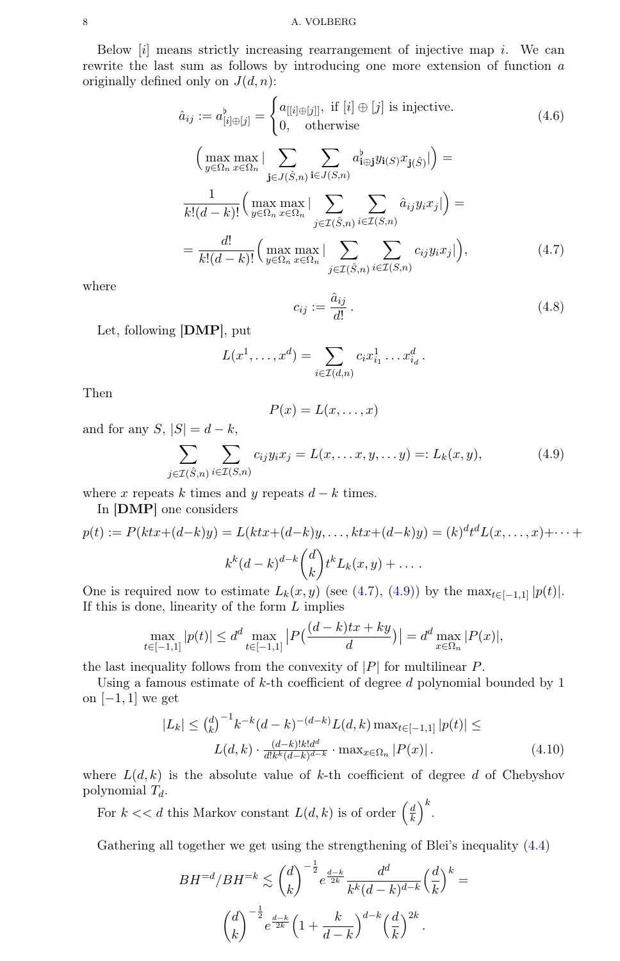Below  $[i]$  means strictly increasing rearrangement of injective map i. We can rewrite the last sum as follows by introducing one more extension of function a originally defined only on  $J(d, n)$ :

$$
\hat{a}_{ij} := a_{[i] \oplus [j]}^{\flat} = \begin{cases}\na_{[[i] \oplus [j]]}, & \text{if } [i] \oplus [j] \text{ is injective.} \\
0, & \text{otherwise}\n\end{cases} (4.6)
$$
\n
$$
\left(\max_{y \in \Omega_n} \max_{x \in \Omega_n} \left| \sum_{\mathbf{j} \in J(\hat{S}, n)} \sum_{\mathbf{i} \in J(S, n)} a_{\mathbf{i} \oplus \mathbf{j}}^{\flat} y_{\mathbf{i}(S)} x_{\mathbf{j}(\hat{S})} \right| \right) =
$$
\n
$$
\frac{1}{k!(d-k)!} \left(\max_{y \in \Omega_n} \max_{x \in \Omega_n} \left| \sum_{\mathbf{j} \in \mathcal{I}(\hat{S}, n)} \sum_{\mathbf{i} \in \mathcal{I}(S, n)} \hat{a}_{ij} y_{\mathbf{i}} x_{\mathbf{j}} \right| \right) =
$$
\n
$$
= \frac{d!}{k!(d-k)!} \left(\max_{y \in \Omega_n} \max_{x \in \Omega_n} \left| \sum_{\mathbf{j} \in \mathcal{I}(\hat{S}, n)} \sum_{\mathbf{i} \in \mathcal{I}(S, n)} c_{ij} y_{\mathbf{i}} x_{\mathbf{j}} \right| \right), \tag{4.7}
$$

<span id="page-7-0"></span>where

$$
c_{ij} := \frac{\hat{a}_{ij}}{d!} \,. \tag{4.8}
$$

Let, following [DMP], put

$$
L(x^{1},...,x^{d}) = \sum_{i \in \mathcal{I}(d,n)} c_{i}x_{i_{1}}^{1}...x_{i_{d}}^{d}.
$$

Then

$$
P(x) = L(x, \dots, x)
$$

and for any  $S, |S| = d - k$ ,

<span id="page-7-1"></span>
$$
\sum_{j \in \mathcal{I}(\hat{S}, n)} \sum_{i \in \mathcal{I}(S, n)} c_{ij} y_i x_j = L(x, \dots x, y, \dots y) =: L_k(x, y), \tag{4.9}
$$

where x repeats k times and y repeats  $d - k$  times.

In [DMP] one considers

$$
p(t) := P(ktx + (d-k)y) = L(ktx + (d-k)y, \dots, ktx + (d-k)y) = (k)^{d}t^{d}L(x, \dots, x) + \dots + k^{k}(d-k)^{d-k} \binom{d}{k}t^{k}L_{k}(x, y) + \dots
$$

One is required now to estimate  $L_k(x, y)$  (see [\(4.7\)](#page-7-0), [\(4.9\)](#page-7-1)) by the  $\max_{t \in [-1,1]} |p(t)|$ . If this is done, linearity of the form  $L$  implies

$$
\max_{t \in [-1,1]} |p(t)| \le d^d \max_{t \in [-1,1]} |P(\frac{(d-k)tx + ky}{d})| = d^d \max_{x \in \Omega_n} |P(x)|,
$$

the last inequality follows from the convexity of  $|P|$  for multilinear P.

Using a famous estimate of  $k$ -th coefficient of degree  $d$  polynomial bounded by 1 on  $[-1, 1]$  we get

$$
|L_k| \leq {d \choose k}^{-1} k^{-k} (d-k)^{-(d-k)} L(d,k) \max_{t \in [-1,1]} |p(t)| \leq
$$
  

$$
L(d,k) \cdot \frac{(d-k)! k! d^d}{d! k^k (d-k)^{d-k}} \cdot \max_{x \in \Omega_n} |P(x)|.
$$
 (4.10)

where  $L(d, k)$  is the absolute value of k-th coefficient of degree d of Chebyshov polynomial  $T_d$ .

For  $k \ll d$  this Markov constant  $L(d, k)$  is of order  $\left(\frac{d}{k}\right)$  $\left(\frac{d}{k}\right)^k$ .

Gathering all together we get using the strengthening of Blei's inequality [\(4.4\)](#page-6-1)

$$
BH^{-d}/BH^{-k} \lesssim {d \choose k}^{-\frac{1}{2}} e^{\frac{d-k}{2k}} \frac{d^d}{k^k (d-k)^{d-k}} \left(\frac{d}{k}\right)^k =
$$
  

$$
{d \choose k}^{-\frac{1}{2}} e^{\frac{d-k}{2k}} \left(1 + \frac{k}{d-k}\right)^{d-k} \left(\frac{d}{k}\right)^{2k}.
$$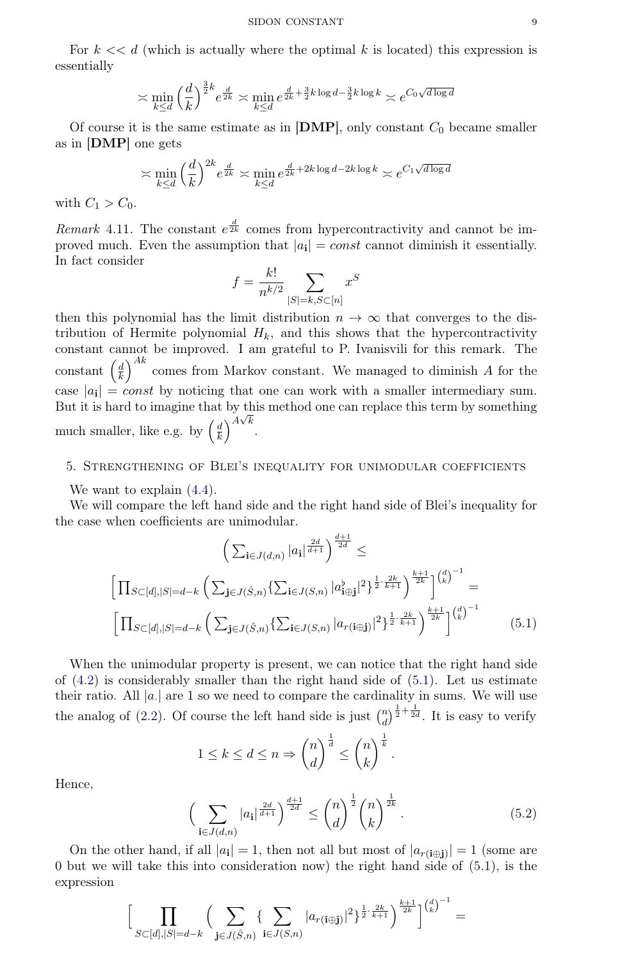For  $k \ll d$  (which is actually where the optimal k is located) this expression is essentially

$$
\asymp \min_{k \le d} \left(\frac{d}{k}\right)^{\frac{3}{2}k} e^{\frac{d}{2k}} \asymp \min_{k \le d} e^{\frac{d}{2k} + \frac{3}{2}k \log d - \frac{3}{2}k \log k} \asymp e^{C_0 \sqrt{d \log d}}
$$

Of course it is the same estimate as in  $[DMP]$ , only constant  $C_0$  became smaller as in [DMP] one gets

$$
\asymp \min_{k \le d} \left(\frac{d}{k}\right)^{2k} e^{\frac{d}{2k}} \asymp \min_{k \le d} e^{\frac{d}{2k} + 2k \log d - 2k \log k} \asymp e^{C_1 \sqrt{d \log d}}
$$

with  $C_1 > C_0$ .

Remark 4.11. The constant  $e^{\frac{d}{2k}}$  comes from hypercontractivity and cannot be improved much. Even the assumption that  $|a_i| = const$  cannot diminish it essentially. In fact consider

$$
f = \frac{k!}{n^{k/2}} \sum_{|S|=k, S \subset [n]} x^S
$$

then this polynomial has the limit distribution  $n \to \infty$  that converges to the distribution of Hermite polynomial  $H_k$ , and this shows that the hypercontractivity constant cannot be improved. I am grateful to P. Ivanisvili for this remark. The  $\frac{d}{dx}$  $\frac{d}{k}$  a comes from Markov constant. We managed to diminish A for the case  $|a_i| = const$  by noticing that one can work with a smaller intermediary sum. But it is hard to imagine that by this method one can replace this term by something much smaller, like e.g. by  $\left(\frac{d}{k}\right)$  $\left(\frac{d}{k}\right)^{A\sqrt{k}}$ .

## 5. Strengthening of Blei's inequality for unimodular coefficients

We want to explain  $(4.4)$ .

We will compare the left hand side and the right hand side of Blei's inequality for the case when coefficients are unimodular.

<span id="page-8-0"></span>
$$
\left(\sum_{\mathbf{i}\in J(d,n)} |a_{\mathbf{i}}|^{\frac{2d}{d+1}}\right)^{\frac{d+1}{2d}} \le
$$
\n
$$
\left[\prod_{S\subset [d],|S|=d-k} \left(\sum_{\mathbf{j}\in J(\hat{S},n)} \{\sum_{\mathbf{i}\in J(S,n)} |a_{\mathbf{i}\oplus\mathbf{j}}^b|^2\}^{\frac{1}{2}\cdot\frac{2k}{k+1}}\right)^{\frac{k+1}{2k}}\right]^{(\frac{d}{k})^{-1}} =
$$
\n
$$
\left[\prod_{S\subset [d],|S|=d-k} \left(\sum_{\mathbf{j}\in J(\hat{S},n)} \{\sum_{\mathbf{i}\in J(S,n)} |a_{r(\mathbf{i}\oplus\mathbf{j})}|^2\}^{\frac{1}{2}\cdot\frac{2k}{k+1}}\right)^{\frac{k+1}{2k}}\right]^{(\frac{d}{k})^{-1}} \tag{5.1}
$$

When the unimodular property is present, we can notice that the right hand side of  $(4.2)$  is considerably smaller than the right hand side of  $(5.1)$ . Let us estimate their ratio. All  $|a|$  are 1 so we need to compare the cardinality in sums. We will use the analog of [\(2.2\)](#page-2-1). Of course the left hand side is just  $\binom{n}{d}$  $\binom{n}{d}^{\frac{1}{2}+\frac{1}{2d}}$ . It is easy to verify

$$
1 \le k \le d \le n \Rightarrow \binom{n}{d}^{\frac{1}{d}} \le \binom{n}{k}^{\frac{1}{k}}
$$

Hence,

<span id="page-8-1"></span>
$$
\left(\sum_{\mathbf{i}\in J(d,n)} |a_{\mathbf{i}}|^{\frac{2d}{d+1}}\right)^{\frac{d+1}{2d}} \le \binom{n}{d}^{\frac{1}{2}} \binom{n}{k}^{\frac{1}{2k}}.
$$
\n(5.2)

.

On the other hand, if all  $|a_i|=1$ , then not all but most of  $|a_{r(i\oplus j)}|=1$  (some are 0 but we will take this into consideration now) the right hand side of [\(5.1\)](#page-8-0), is the expression

$$
\Big[\prod_{S\subset [d], |S|=d-k} \Big(\sum_{\mathbf{j}\in J(\hat S, n)}\{\sum_{\mathbf{i} \in J( S, n)} |a_{r(\mathbf{i}\oplus\mathbf{j})}|^2\}^{\frac{1}{2}\cdot \frac{2k}{k+1}}\Big)^{\frac{k+1}{2k}}\Big]^{{d\choose k }^{-1}}=
$$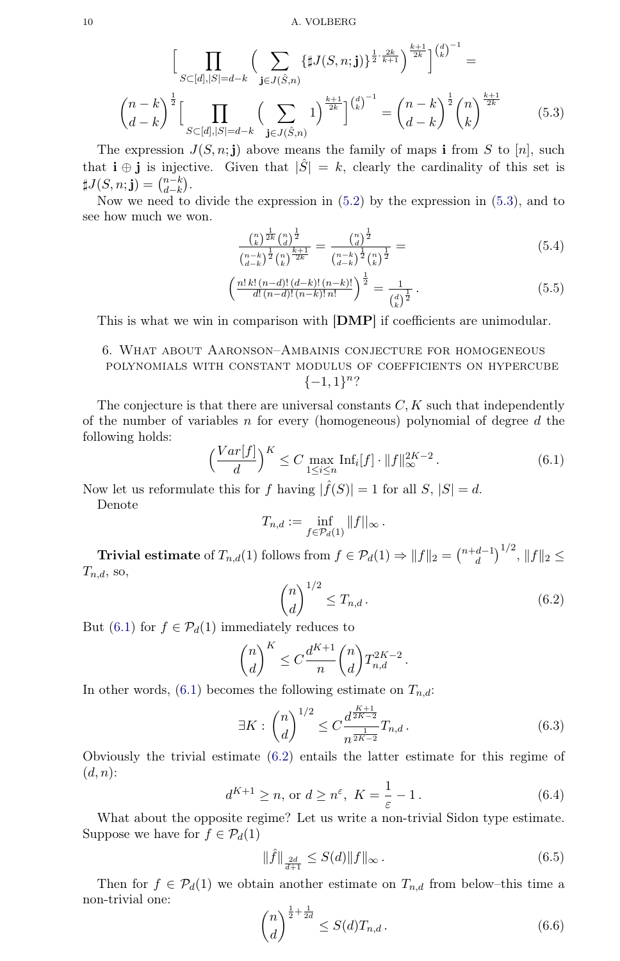$$
\left[\prod_{S \subset [d], |S| = d-k} \left(\sum_{\mathbf{j} \in J(\hat{S}, n)} \{\sharp J(S, n; \mathbf{j})\}^{\frac{1}{2} \cdot \frac{2k}{k+1}}\right)^{\frac{k+1}{2k}}\right]^{(\frac{d}{k})^{-1}} =
$$
\n
$$
\binom{n-k}{d-k}^{\frac{1}{2}} \left[\prod_{S \subset [d], |S| = d-k} \left(\sum_{\mathbf{j} \in J(\hat{S}, n)} 1\right)^{\frac{k+1}{2k}}\right]^{(\frac{d}{k})^{-1}} = \binom{n-k}{d-k}^{\frac{1}{2}} \binom{n}{k}^{\frac{k+1}{2k}} \tag{5.3}
$$

<span id="page-9-0"></span>The expression  $J(S, n; j)$  above means the family of maps i from S to [n], such that  $\mathbf{i} \oplus \mathbf{j}$  is injective. Given that  $|\hat{S}| = k$ , clearly the cardinality of this set is  $\sharp J(S,n;{\bf j})=\binom{n-k}{d-k}$  $_{d-k}^{n-k}$ ).

Now we need to divide the expression in  $(5.2)$  by the expression in  $(5.3)$ , and to see how much we won.

$$
\frac{\binom{n}{k}^{\frac{1}{2k}}\binom{n}{d}^{\frac{1}{2}}}{\binom{n-k}{d-k}^{\frac{1}{2}}\binom{n}{k}^{\frac{k+1}{2k}}} = \frac{\binom{n}{d}^{\frac{1}{2}}}{\binom{n-k}{d-k}^{\frac{1}{2}}\binom{n}{k}^{\frac{1}{2}}} = (5.4)
$$

$$
\left(\frac{n! \, k! \, (n-d)! \, (d-k)! \, (n-k)!}{d! \, (n-d)! \, (n-k)! \, n!}\right)^{\frac{1}{2}} = \frac{1}{\binom{d}{k}^{\frac{1}{2}}}. \tag{5.5}
$$

This is what we win in comparison with [DMP] if coefficients are unimodular.

# 6. What about Aaronson–Ambainis conjecture for homogeneous polynomials with constant modulus of coefficients on hypercube  $\{-1,1\}^n$ ?

The conjecture is that there are universal constants  $C, K$  such that independently of the number of variables n for every (homogeneous) polynomial of degree d the following holds:

<span id="page-9-1"></span>
$$
\left(\frac{Var[f]}{d}\right)^K \le C \max_{1 \le i \le n} \text{Inf}_i[f] \cdot ||f||_{\infty}^{2K-2}.
$$
\n(6.1)

Now let us reformulate this for f having  $|\hat{f}(S)| = 1$  for all  $S, |S| = d$ .

Denote

$$
T_{n,d} := \inf_{f \in \mathcal{P}_d(1)} ||f||_{\infty}.
$$

**Trivial estimate** of  $T_{n,d}(1)$  follows from  $f \in \mathcal{P}_d(1) \Rightarrow ||f||_2 = \binom{n+d-1}{d}$  $\binom{d-1}{d}^{1/2}$ ,  $||f||_2 \le$  $T_{n,d}$ , so,

<span id="page-9-2"></span>
$$
\binom{n}{d}^{1/2} \le T_{n,d} \,. \tag{6.2}
$$

But [\(6.1\)](#page-9-1) for  $f \in \mathcal{P}_d(1)$  immediately reduces to

$$
\binom{n}{d}^K \leq C \frac{d^{K+1}}{n} \binom{n}{d} T_{n,d}^{2K-2}.
$$

In other words,  $(6.1)$  becomes the following estimate on  $T_{n,d}$ :

<span id="page-9-5"></span>
$$
\exists K : \binom{n}{d}^{1/2} \le C \frac{d^{\frac{K+1}{2K-2}}}{n^{\frac{1}{2K-2}}} T_{n,d} \,. \tag{6.3}
$$

Obviously the trivial estimate [\(6.2\)](#page-9-2) entails the latter estimate for this regime of  $(d, n)$ :

<span id="page-9-3"></span>
$$
d^{K+1} \ge n, \text{ or } d \ge n^{\varepsilon}, K = \frac{1}{\varepsilon} - 1.
$$
 (6.4)

What about the opposite regime? Let us write a non-trivial Sidon type estimate. Suppose we have for  $f \in \mathcal{P}_d(1)$ 

$$
\|\hat{f}\|_{\frac{2d}{d+1}} \le S(d) \|f\|_{\infty}.
$$
\n(6.5)

Then for  $f \in \mathcal{P}_d(1)$  we obtain another estimate on  $T_{n,d}$  from below-this time a non-trivial one:

<span id="page-9-4"></span>
$$
\binom{n}{d}^{\frac{1}{2} + \frac{1}{2d}} \le S(d)T_{n,d} \,. \tag{6.6}
$$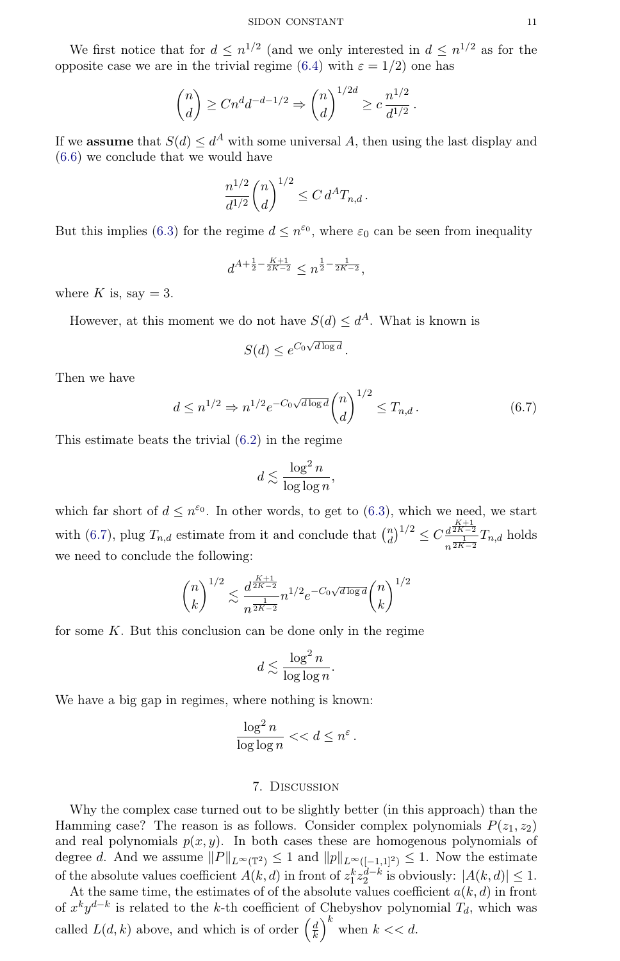We first notice that for  $d \leq n^{1/2}$  (and we only interested in  $d \leq n^{1/2}$  as for the opposite case we are in the trivial regime [\(6.4\)](#page-9-3) with  $\varepsilon = 1/2$ ) one has

$$
\binom{n}{d} \ge Cn^d d^{-d-1/2} \Rightarrow \binom{n}{d}^{1/2d} \ge c \frac{n^{1/2}}{d^{1/2}}.
$$

If we **assume** that  $S(d) \leq d^A$  with some universal A, then using the last display and [\(6.6\)](#page-9-4) we conclude that we would have

$$
\frac{n^{1/2}}{d^{1/2}} \binom{n}{d}^{1/2} \le C d^A T_{n,d} \, .
$$

But this implies [\(6.3\)](#page-9-5) for the regime  $d \leq n^{\varepsilon_0}$ , where  $\varepsilon_0$  can be seen from inequality

$$
d^{A+\frac{1}{2}-\frac{K+1}{2K-2}} \le n^{\frac{1}{2}-\frac{1}{2K-2}},
$$

where K is, say  $= 3$ .

However, at this moment we do not have  $S(d) \leq d^A$ . What is known is

$$
S(d) \le e^{C_0 \sqrt{d \log d}}.
$$

Then we have

<span id="page-10-0"></span>
$$
d \le n^{1/2} \Rightarrow n^{1/2} e^{-C_0 \sqrt{d \log d}} \binom{n}{d}^{1/2} \le T_{n,d} \,. \tag{6.7}
$$

This estimate beats the trivial [\(6.2\)](#page-9-2) in the regime

$$
d \lesssim \frac{\log^2 n}{\log \log n},
$$

which far short of  $d \leq n^{\epsilon_0}$ . In other words, to get to [\(6.3\)](#page-9-5), which we need, we start with [\(6.7\)](#page-10-0), plug  $T_{n,d}$  estimate from it and conclude that  $\binom{n}{d}$  $\binom{n}{d}^{1/2} \leq C \frac{d^{\frac{K+1}{2K-2}}}{\frac{1}{2K-2}}$  $rac{d^{2K-2}}{n^{2K-2}}T_{n,d}$  holds we need to conclude the following:

$$
\binom{n}{k}^{1/2} \lesssim \frac{d^{\frac{K+1}{2K-2}}}{n^{\frac{1}{2K-2}}} n^{1/2} e^{-C_0 \sqrt{d \log d}} \binom{n}{k}^{1/2}
$$

for some  $K$ . But this conclusion can be done only in the regime

$$
d \lesssim \frac{\log^2 n}{\log \log n}.
$$

We have a big gap in regimes, where nothing is known:

$$
\frac{\log^2 n}{\log \log n} << d \leq n^{\varepsilon}.
$$

### 7. Discussion

Why the complex case turned out to be slightly better (in this approach) than the Hamming case? The reason is as follows. Consider complex polynomials  $P(z_1, z_2)$ and real polynomials  $p(x, y)$ . In both cases these are homogenous polynomials of degree d. And we assume  $||P||_{L^{\infty}(\mathbb{T}^2)} \leq 1$  and  $||p||_{L^{\infty}([-1,1]^2)} \leq 1$ . Now the estimate of the absolute values coefficient  $A(k, d)$  in front of  $z_1^k z_2^{d-k}$  is obviously:  $|A(k, d)| \leq 1$ .

At the same time, the estimates of of the absolute values coefficient  $a(k, d)$  in front of  $x^k y^{d-k}$  is related to the k-th coefficient of Chebyshov polynomial  $T_d$ , which was called  $L(d, k)$  above, and which is of order  $\left(\frac{d}{k}\right)$  $\left(\frac{d}{k}\right)^k$  when  $k << d$ .